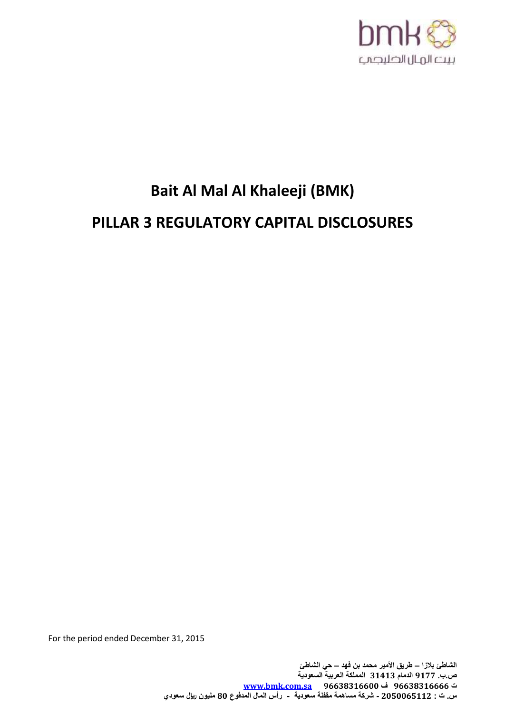

# **Bait Al Mal Al Khaleeji (BMK)**

## **PILLAR 3 REGULATORY CAPITAL DISCLOSURES**

For the period ended December 31, 2015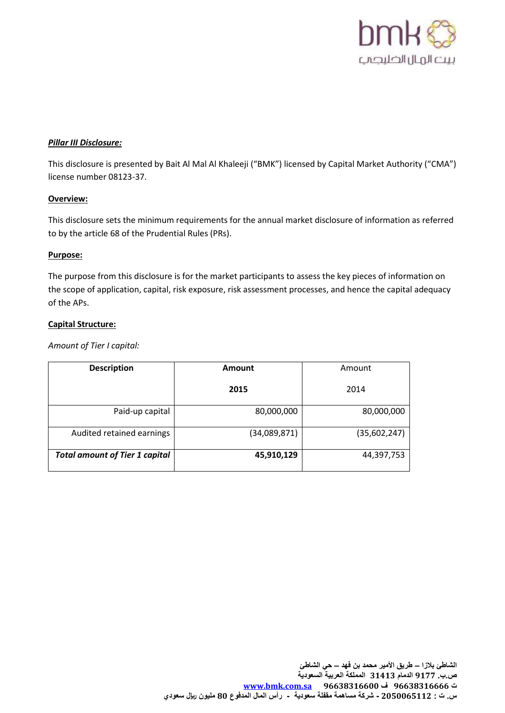

#### *Pillar III Disclosure:*

This disclosure is presented by Bait Al Mal Al Khaleeji ("BMK") licensed by Capital Market Authority ("CMA") license number 08123-37.

#### **Overview:**

This disclosure sets the minimum requirements for the annual market disclosure of information as referred to by the article 68 of the Prudential Rules (PRs).

#### **Purpose:**

The purpose from this disclosure is for the market participants to assess the key pieces of information on the scope of application, capital, risk exposure, risk assessment processes, and hence the capital adequacy of the APs.

#### **Capital Structure:**

*Amount of Tier I capital:*

| <b>Description</b>                    | <b>Amount</b> | Amount       |  |  |
|---------------------------------------|---------------|--------------|--|--|
|                                       | 2015          | 2014         |  |  |
| Paid-up capital                       | 80,000,000    | 80,000,000   |  |  |
| Audited retained earnings             | (34,089,871)  | (35,602,247) |  |  |
| <b>Total amount of Tier 1 capital</b> | 45,910,129    | 44,397,753   |  |  |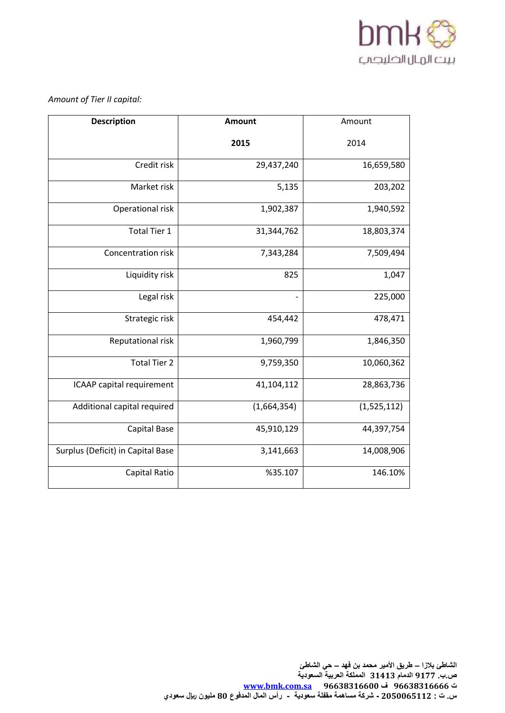

## *Amount of Tier II capital:*

| <b>Description</b>                | <b>Amount</b>            | Amount      |  |  |
|-----------------------------------|--------------------------|-------------|--|--|
|                                   | 2015                     | 2014        |  |  |
| Credit risk                       | 29,437,240               | 16,659,580  |  |  |
| Market risk                       | 5,135                    | 203,202     |  |  |
| Operational risk                  | 1,902,387                | 1,940,592   |  |  |
| <b>Total Tier 1</b>               | 31,344,762               | 18,803,374  |  |  |
| <b>Concentration risk</b>         | 7,343,284                | 7,509,494   |  |  |
| Liquidity risk                    | 825                      | 1,047       |  |  |
| Legal risk                        | $\overline{\phantom{a}}$ | 225,000     |  |  |
| Strategic risk                    | 454,442                  | 478,471     |  |  |
| Reputational risk                 | 1,960,799                | 1,846,350   |  |  |
| <b>Total Tier 2</b>               | 9,759,350                | 10,060,362  |  |  |
| ICAAP capital requirement         | 41,104,112               | 28,863,736  |  |  |
| Additional capital required       | (1,664,354)              | (1,525,112) |  |  |
| Capital Base                      | 45,910,129               | 44,397,754  |  |  |
| Surplus (Deficit) in Capital Base | 3,141,663                | 14,008,906  |  |  |
| Capital Ratio                     | %35.107                  | 146.10%     |  |  |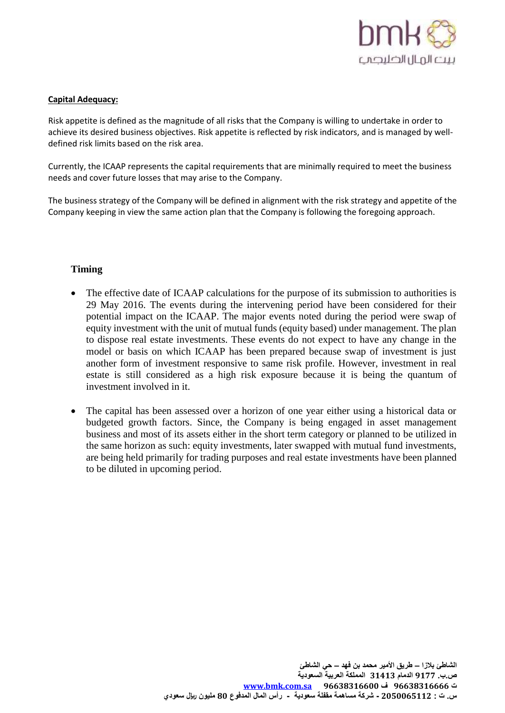

#### **Capital Adequacy:**

Risk appetite is defined as the magnitude of all risks that the Company is willing to undertake in order to achieve its desired business objectives. Risk appetite is reflected by risk indicators, and is managed by welldefined risk limits based on the risk area.

Currently, the ICAAP represents the capital requirements that are minimally required to meet the business needs and cover future losses that may arise to the Company.

The business strategy of the Company will be defined in alignment with the risk strategy and appetite of the Company keeping in view the same action plan that the Company is following the foregoing approach.

## **Timing**

- The effective date of ICAAP calculations for the purpose of its submission to authorities is 29 May 2016. The events during the intervening period have been considered for their potential impact on the ICAAP. The major events noted during the period were swap of equity investment with the unit of mutual funds (equity based) under management. The plan to dispose real estate investments. These events do not expect to have any change in the model or basis on which ICAAP has been prepared because swap of investment is just another form of investment responsive to same risk profile. However, investment in real estate is still considered as a high risk exposure because it is being the quantum of investment involved in it.
- The capital has been assessed over a horizon of one year either using a historical data or budgeted growth factors. Since, the Company is being engaged in asset management business and most of its assets either in the short term category or planned to be utilized in the same horizon as such: equity investments, later swapped with mutual fund investments, are being held primarily for trading purposes and real estate investments have been planned to be diluted in upcoming period.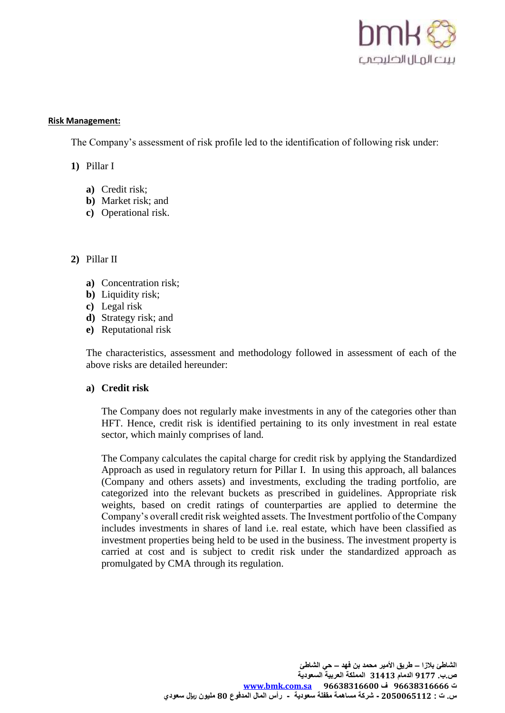

#### **Risk Management:**

The Company's assessment of risk profile led to the identification of following risk under:

- **1)** Pillar I
	- **a)** Credit risk;
	- **b)** Market risk; and
	- **c)** Operational risk.

## **2)** Pillar II

- **a)** Concentration risk;
- **b)** Liquidity risk;
- **c)** Legal risk
- **d)** Strategy risk; and
- **e)** Reputational risk

The characteristics, assessment and methodology followed in assessment of each of the above risks are detailed hereunder:

#### **a) Credit risk**

The Company does not regularly make investments in any of the categories other than HFT. Hence, credit risk is identified pertaining to its only investment in real estate sector, which mainly comprises of land.

The Company calculates the capital charge for credit risk by applying the Standardized Approach as used in regulatory return for Pillar I. In using this approach, all balances (Company and others assets) and investments, excluding the trading portfolio, are categorized into the relevant buckets as prescribed in guidelines. Appropriate risk weights, based on credit ratings of counterparties are applied to determine the Company's overall credit risk weighted assets. The Investment portfolio of the Company includes investments in shares of land i.e. real estate, which have been classified as investment properties being held to be used in the business. The investment property is carried at cost and is subject to credit risk under the standardized approach as promulgated by CMA through its regulation.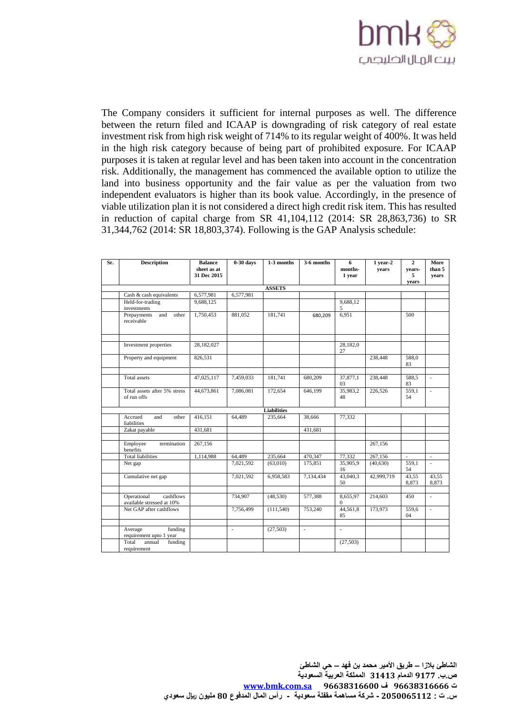

The Company considers it sufficient for internal purposes as well. The difference between the return filed and ICAAP is downgrading of risk category of real estate investment risk from high risk weight of 714% to its regular weight of 400%. It was held in the high risk category because of being part of prohibited exposure. For ICAAP purposes it is taken at regular level and has been taken into account in the concentration risk. Additionally, the management has commenced the available option to utilize the land into business opportunity and the fair value as per the valuation from two independent evaluators is higher than its book value. Accordingly, in the presence of viable utilization plan it is not considered a direct high credit risk item. This has resulted in reduction of capital charge from SR 41,104,112 (2014: SR 28,863,736) to SR 31,344,762 (2014: SR 18,803,374). Following is the GAP Analysis schedule:

| Sr. | <b>Description</b>                                    | <b>Balance</b><br>sheet as at<br>31 Dec 2015 | $0-30$ days              | 1-3 months         | 3-6 months | 6<br>months-<br>1 year | $1$ year $2$<br>years | $\mathbf{2}$<br>vears-<br>5<br>years | More<br>than 5<br>years     |  |  |
|-----|-------------------------------------------------------|----------------------------------------------|--------------------------|--------------------|------------|------------------------|-----------------------|--------------------------------------|-----------------------------|--|--|
|     | <b>ASSETS</b>                                         |                                              |                          |                    |            |                        |                       |                                      |                             |  |  |
|     | Cash & cash equivalents                               | 6,577,981                                    | 6,577,981                |                    |            |                        |                       |                                      |                             |  |  |
|     | Held-for-trading<br>investments                       | 9,688,125                                    |                          |                    |            | 9,688,12<br>5          |                       |                                      |                             |  |  |
|     | Prepayments<br>and<br>other<br>receivable             | 1,750,453                                    | 881,052                  | 181,741            | 680,209    | 6,951                  |                       | 500                                  |                             |  |  |
|     | Investment properties                                 | 28,182,027                                   |                          |                    |            | 28,182,0<br>27         |                       |                                      |                             |  |  |
|     | Property and equipment                                | 826,531                                      |                          |                    |            |                        | 238,448               | 588.0<br>83                          |                             |  |  |
|     | <b>Total</b> assets                                   | 47,025,117                                   | 7,459,033                | 181,741            | 680,209    | 37,877,1<br>03         | 238,448               | 588,5<br>83                          | ٠                           |  |  |
|     | Total assets after 5% stress<br>of run offs           | 44,673,861                                   | 7,086,081                | 172,654            | 646,199    | 35,983,2<br>48         | 226,526               | 559,1<br>54                          | $\mathcal{L}$               |  |  |
|     |                                                       |                                              |                          | <b>Liabilities</b> |            |                        |                       |                                      |                             |  |  |
|     | Accrued<br>and<br>other<br>liabilities                | 416,151                                      | 64,489                   | 235,664            | 38,666     | 77,332                 |                       |                                      |                             |  |  |
|     | Zakat payable                                         | 431,681                                      |                          |                    | 431,681    |                        |                       |                                      |                             |  |  |
|     | Employee<br>termination<br>benefits                   | 267,156                                      |                          |                    |            |                        | 267,156               |                                      |                             |  |  |
|     | <b>Total liabilities</b>                              | 1,114,988                                    | 64,489                   | 235,664            | 470,347    | 77,332                 | 267,156               | $\overline{\phantom{a}}$             | $\overline{\phantom{a}}$    |  |  |
|     | Net gap                                               |                                              | 7,021,592                | (63,010)           | 175,851    | 35,905,9<br>16         | (40, 630)             | 559,1<br>54                          | $\mathcal{L}$               |  |  |
|     | Cumulative net gap                                    |                                              | 7,021,592                | 6,958,583          | 7,134,434  | 43,040,3<br>50         | 42,999,719            | 43,55<br>8,873                       | 43,55<br>8,873              |  |  |
|     | Operational<br>cashflows<br>available stressed at 10% |                                              | 734,907                  | (48, 530)          | 577,388    | 8,655,97<br>$\Omega$   | 214,603               | 450                                  | $\mathcal{L}_{\mathcal{A}}$ |  |  |
|     | Net GAP after cashflows                               |                                              | 7,756,499                | (111,540)          | 753,240    | 44,561,8<br>85         | 173,973               | 559,6<br>04                          | L.                          |  |  |
|     |                                                       |                                              |                          |                    |            | ÷.                     |                       |                                      |                             |  |  |
|     | funding<br>Average<br>requirement upto 1 year         |                                              | $\overline{\phantom{a}}$ | (27,503)           | ÷.         |                        |                       |                                      |                             |  |  |
|     | Total<br>annual<br>funding<br>requirement             |                                              |                          |                    |            | (27, 503)              |                       |                                      |                             |  |  |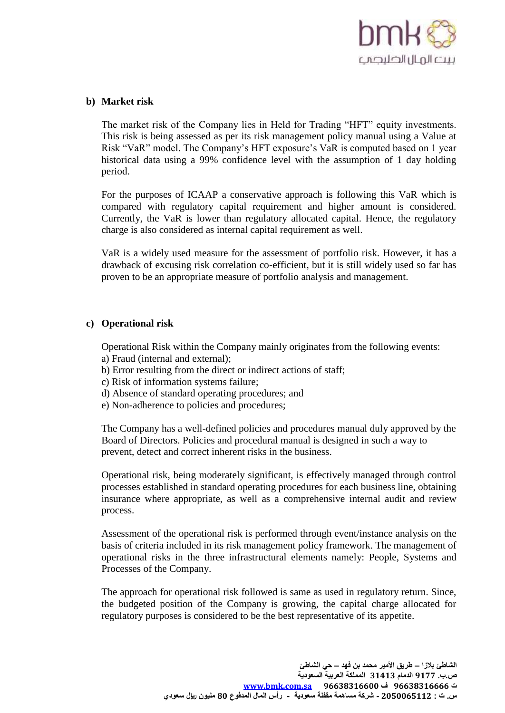

## **b) Market risk**

The market risk of the Company lies in Held for Trading "HFT" equity investments. This risk is being assessed as per its risk management policy manual using a Value at Risk "VaR" model. The Company's HFT exposure's VaR is computed based on 1 year historical data using a 99% confidence level with the assumption of 1 day holding period.

For the purposes of ICAAP a conservative approach is following this VaR which is compared with regulatory capital requirement and higher amount is considered. Currently, the VaR is lower than regulatory allocated capital. Hence, the regulatory charge is also considered as internal capital requirement as well.

VaR is a widely used measure for the assessment of portfolio risk. However, it has a drawback of excusing risk correlation co-efficient, but it is still widely used so far has proven to be an appropriate measure of portfolio analysis and management.

#### **c) Operational risk**

Operational Risk within the Company mainly originates from the following events:

- a) Fraud (internal and external);
- b) Error resulting from the direct or indirect actions of staff;
- c) Risk of information systems failure;
- d) Absence of standard operating procedures; and
- e) Non-adherence to policies and procedures;

The Company has a well-defined policies and procedures manual duly approved by the Board of Directors. Policies and procedural manual is designed in such a way to prevent, detect and correct inherent risks in the business.

Operational risk, being moderately significant, is effectively managed through control processes established in standard operating procedures for each business line, obtaining insurance where appropriate, as well as a comprehensive internal audit and review process.

Assessment of the operational risk is performed through event/instance analysis on the basis of criteria included in its risk management policy framework. The management of operational risks in the three infrastructural elements namely: People, Systems and Processes of the Company.

The approach for operational risk followed is same as used in regulatory return. Since, the budgeted position of the Company is growing, the capital charge allocated for regulatory purposes is considered to be the best representative of its appetite.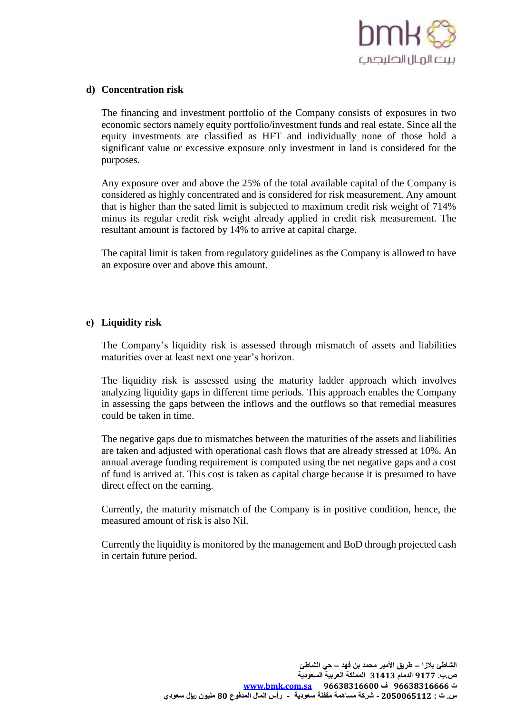

## **d) Concentration risk**

The financing and investment portfolio of the Company consists of exposures in two economic sectors namely equity portfolio/investment funds and real estate. Since all the equity investments are classified as HFT and individually none of those hold a significant value or excessive exposure only investment in land is considered for the purposes.

Any exposure over and above the 25% of the total available capital of the Company is considered as highly concentrated and is considered for risk measurement. Any amount that is higher than the sated limit is subjected to maximum credit risk weight of 714% minus its regular credit risk weight already applied in credit risk measurement. The resultant amount is factored by 14% to arrive at capital charge.

The capital limit is taken from regulatory guidelines as the Company is allowed to have an exposure over and above this amount.

## **e) Liquidity risk**

The Company's liquidity risk is assessed through mismatch of assets and liabilities maturities over at least next one year's horizon.

The liquidity risk is assessed using the maturity ladder approach which involves analyzing liquidity gaps in different time periods. This approach enables the Company in assessing the gaps between the inflows and the outflows so that remedial measures could be taken in time.

The negative gaps due to mismatches between the maturities of the assets and liabilities are taken and adjusted with operational cash flows that are already stressed at 10%. An annual average funding requirement is computed using the net negative gaps and a cost of fund is arrived at. This cost is taken as capital charge because it is presumed to have direct effect on the earning.

Currently, the maturity mismatch of the Company is in positive condition, hence, the measured amount of risk is also Nil.

Currently the liquidity is monitored by the management and BoD through projected cash in certain future period.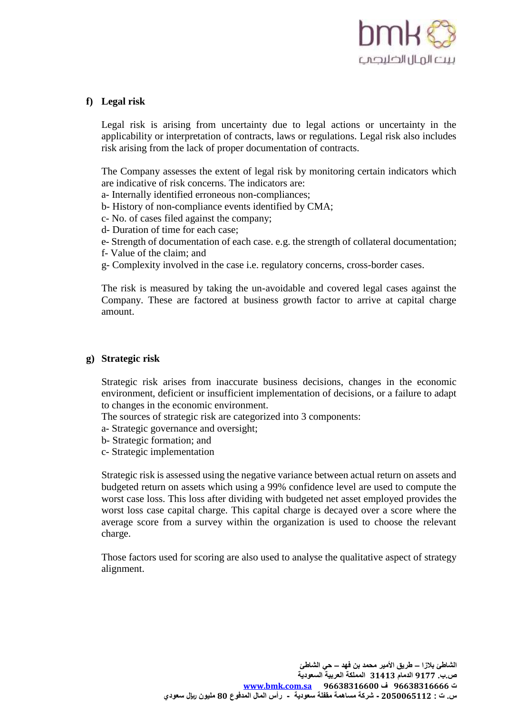

## **f) Legal risk**

Legal risk is arising from uncertainty due to legal actions or uncertainty in the applicability or interpretation of contracts, laws or regulations. Legal risk also includes risk arising from the lack of proper documentation of contracts.

The Company assesses the extent of legal risk by monitoring certain indicators which are indicative of risk concerns. The indicators are:

- a- Internally identified erroneous non-compliances;
- b- History of non-compliance events identified by CMA;
- c- No. of cases filed against the company;
- d- Duration of time for each case;
- e- Strength of documentation of each case. e.g. the strength of collateral documentation;
- f- Value of the claim; and
- g- Complexity involved in the case i.e. regulatory concerns, cross-border cases.

The risk is measured by taking the un-avoidable and covered legal cases against the Company. These are factored at business growth factor to arrive at capital charge amount.

#### **g) Strategic risk**

Strategic risk arises from inaccurate business decisions, changes in the economic environment, deficient or insufficient implementation of decisions, or a failure to adapt to changes in the economic environment.

The sources of strategic risk are categorized into 3 components:

a- Strategic governance and oversight;

- b- Strategic formation; and
- c- Strategic implementation

Strategic risk is assessed using the negative variance between actual return on assets and budgeted return on assets which using a 99% confidence level are used to compute the worst case loss. This loss after dividing with budgeted net asset employed provides the worst loss case capital charge. This capital charge is decayed over a score where the average score from a survey within the organization is used to choose the relevant charge.

Those factors used for scoring are also used to analyse the qualitative aspect of strategy alignment.